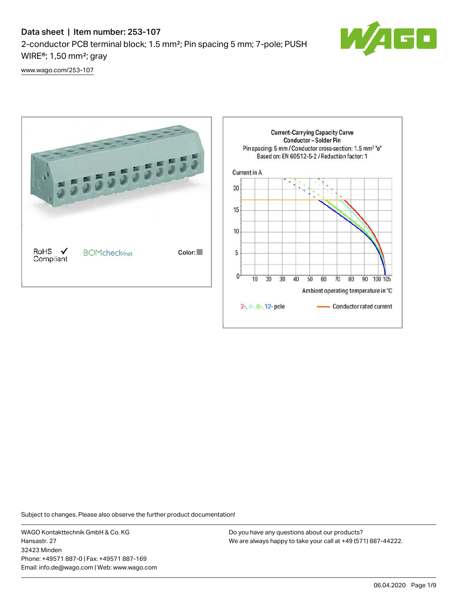# Data sheet | Item number: 253-107 2-conductor PCB terminal block; 1.5 mm²; Pin spacing 5 mm; 7-pole; PUSH WIRE®; 1,50 mm²; gray



[www.wago.com/253-107](http://www.wago.com/253-107)



Subject to changes. Please also observe the further product documentation!

WAGO Kontakttechnik GmbH & Co. KG Hansastr. 27 32423 Minden Phone: +49571 887-0 | Fax: +49571 887-169 Email: info.de@wago.com | Web: www.wago.com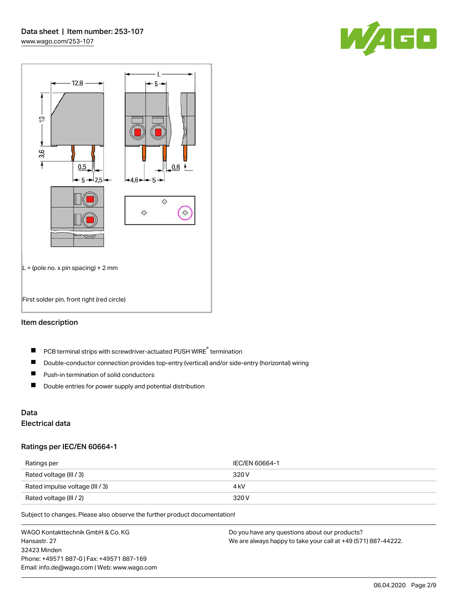



#### Item description

- PCB terminal strips with screwdriver-actuated PUSH WIRE® termination  $\blacksquare$
- $\blacksquare$ Double-conductor connection provides top-entry (vertical) and/or side-entry (horizontal) wiring
- $\blacksquare$ Push-in termination of solid conductors
- $\blacksquare$ Double entries for power supply and potential distribution

# Data

## Electrical data

#### Ratings per IEC/EN 60664-1

| Ratings per                     | IEC/EN 60664-1 |
|---------------------------------|----------------|
| Rated voltage (III / 3)         | 320 V          |
| Rated impulse voltage (III / 3) | 4 kV           |
| Rated voltage (III / 2)         | 320 V          |

Subject to changes. Please also observe the further product documentation!

WAGO Kontakttechnik GmbH & Co. KG Hansastr. 27 32423 Minden Phone: +49571 887-0 | Fax: +49571 887-169 Email: info.de@wago.com | Web: www.wago.com Do you have any questions about our products? We are always happy to take your call at +49 (571) 887-44222.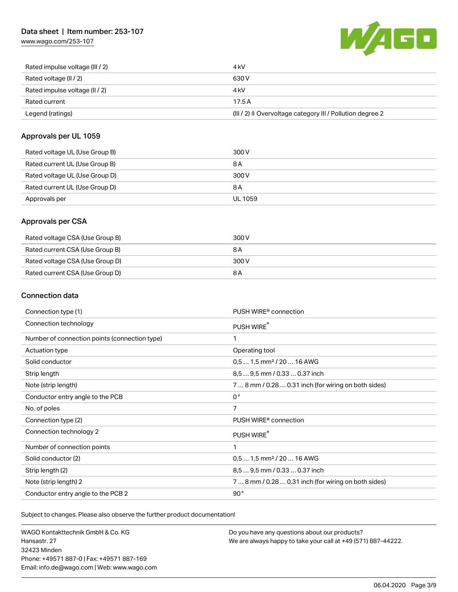## Data sheet | Item number: 253-107

[www.wago.com/253-107](http://www.wago.com/253-107)



| Rated impulse voltage (III / 2) | 4 kV                                                                 |
|---------------------------------|----------------------------------------------------------------------|
| Rated voltage (II / 2)          | 630 V                                                                |
| Rated impulse voltage (II / 2)  | 4 kV                                                                 |
| Rated current                   | 17.5A                                                                |
| Legend (ratings)                | (III / 2) $\triangleq$ Overvoltage category III / Pollution degree 2 |

#### Approvals per UL 1059

| Rated voltage UL (Use Group B) | 300 V          |
|--------------------------------|----------------|
| Rated current UL (Use Group B) | 8 A            |
| Rated voltage UL (Use Group D) | 300 V          |
| Rated current UL (Use Group D) | 8 A            |
| Approvals per                  | <b>UL 1059</b> |

## Approvals per CSA

| Rated voltage CSA (Use Group B) | 300 V |
|---------------------------------|-------|
| Rated current CSA (Use Group B) | 8 A   |
| Rated voltage CSA (Use Group D) | 300 V |
| Rated current CSA (Use Group D) | 8 A   |

## Connection data

| Connection type (1)                           | PUSH WIRE <sup>®</sup> connection                    |
|-----------------------------------------------|------------------------------------------------------|
| Connection technology                         | PUSH WIRE®                                           |
| Number of connection points (connection type) | 1                                                    |
| Actuation type                                | Operating tool                                       |
| Solid conductor                               | $0.51.5$ mm <sup>2</sup> / 20  16 AWG                |
| Strip length                                  | 8,5  9,5 mm / 0.33  0.37 inch                        |
| Note (strip length)                           | 7  8 mm / 0.28  0.31 inch (for wiring on both sides) |
| Conductor entry angle to the PCB              | $0^{\circ}$                                          |
| No. of poles                                  | 7                                                    |
| Connection type (2)                           | PUSH WIRE <sup>®</sup> connection                    |
| Connection technology 2                       | PUSH WIRE®                                           |
| Number of connection points                   | 1                                                    |
| Solid conductor (2)                           | $0.51.5$ mm <sup>2</sup> / 20  16 AWG                |
| Strip length (2)                              | 8.5  9.5 mm / 0.33  0.37 inch                        |
| Note (strip length) 2                         | 7  8 mm / 0.28  0.31 inch (for wiring on both sides) |
| Conductor entry angle to the PCB 2            | 90°                                                  |

Subject to changes. Please also observe the further product documentation!

WAGO Kontakttechnik GmbH & Co. KG Hansastr. 27 32423 Minden Phone: +49571 887-0 | Fax: +49571 887-169 Email: info.de@wago.com | Web: www.wago.com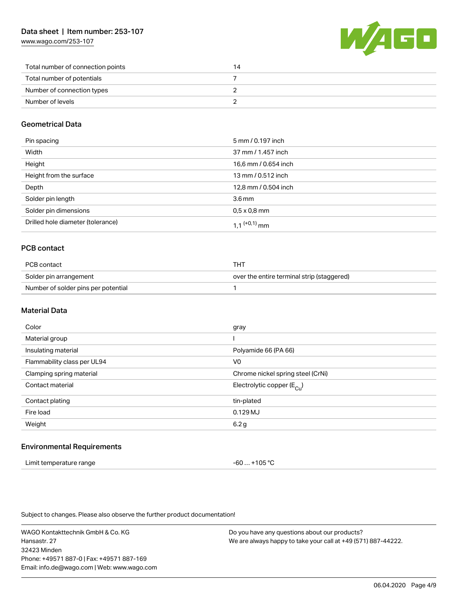[www.wago.com/253-107](http://www.wago.com/253-107)



| Total number of connection points | 14 |
|-----------------------------------|----|
| Total number of potentials        |    |
| Number of connection types        |    |
| Number of levels                  |    |

## Geometrical Data

| Pin spacing                       | 5 mm / 0.197 inch    |
|-----------------------------------|----------------------|
| Width                             | 37 mm / 1.457 inch   |
| Height                            | 16,6 mm / 0.654 inch |
| Height from the surface           | 13 mm / 0.512 inch   |
| Depth                             | 12,8 mm / 0.504 inch |
| Solder pin length                 | 3.6 <sub>mm</sub>    |
| Solder pin dimensions             | $0.5 \times 0.8$ mm  |
| Drilled hole diameter (tolerance) | 1 1 $(+0,1)$ mm      |

## PCB contact

| PCB contact                         | THT                                        |
|-------------------------------------|--------------------------------------------|
| Solder pin arrangement              | over the entire terminal strip (staggered) |
| Number of solder pins per potential |                                            |

#### Material Data

| Color                       | gray                                  |
|-----------------------------|---------------------------------------|
| Material group              |                                       |
| Insulating material         | Polyamide 66 (PA 66)                  |
| Flammability class per UL94 | V <sub>0</sub>                        |
| Clamping spring material    | Chrome nickel spring steel (CrNi)     |
| Contact material            | Electrolytic copper $(E_{\text{Cl}})$ |
| Contact plating             | tin-plated                            |
| Fire load                   | $0.129$ MJ                            |
| Weight                      | 6.2 g                                 |
|                             |                                       |

#### Environmental Requirements

| Limit temperature range | -60  +105 °C |
|-------------------------|--------------|
|-------------------------|--------------|

Subject to changes. Please also observe the further product documentation!

WAGO Kontakttechnik GmbH & Co. KG Hansastr. 27 32423 Minden Phone: +49571 887-0 | Fax: +49571 887-169 Email: info.de@wago.com | Web: www.wago.com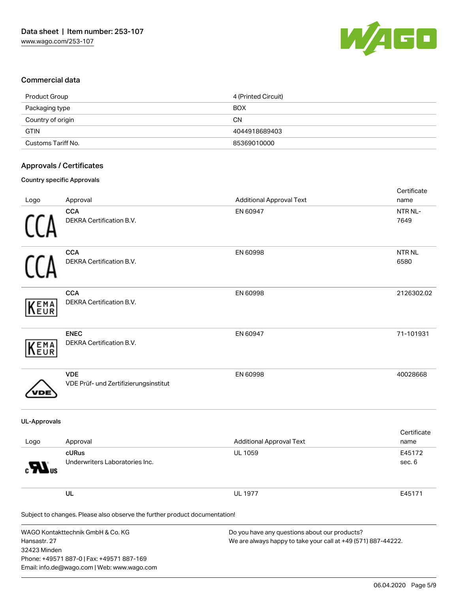

#### Commercial data

| Product Group      | 4 (Printed Circuit) |
|--------------------|---------------------|
| Packaging type     | <b>BOX</b>          |
| Country of origin  | <b>CN</b>           |
| <b>GTIN</b>        | 4044918689403       |
| Customs Tariff No. | 85369010000         |

#### Approvals / Certificates

#### Country specific Approvals

| Logo                         | Approval                                                                                                                                                                                                                                        | <b>Additional Approval Text</b> | Certificate<br>name   |
|------------------------------|-------------------------------------------------------------------------------------------------------------------------------------------------------------------------------------------------------------------------------------------------|---------------------------------|-----------------------|
|                              | <b>CCA</b><br>DEKRA Certification B.V.                                                                                                                                                                                                          | EN 60947                        | NTR NL-<br>7649       |
|                              | <b>CCA</b><br>DEKRA Certification B.V.                                                                                                                                                                                                          | EN 60998                        | <b>NTR NL</b><br>6580 |
| EMA<br>EUR                   | <b>CCA</b><br>DEKRA Certification B.V.                                                                                                                                                                                                          | EN 60998                        | 2126302.02            |
| EMA<br>EUR                   | <b>ENEC</b><br>DEKRA Certification B.V.                                                                                                                                                                                                         | EN 60947                        | 71-101931             |
|                              | <b>VDE</b><br>VDE Prüf- und Zertifizierungsinstitut                                                                                                                                                                                             | EN 60998                        | 40028668              |
| <b>UL-Approvals</b>          |                                                                                                                                                                                                                                                 |                                 |                       |
| Logo                         | Approval                                                                                                                                                                                                                                        | <b>Additional Approval Text</b> | Certificate<br>name   |
|                              | cURus<br>Underwriters Laboratories Inc.                                                                                                                                                                                                         | <b>UL 1059</b>                  | E45172<br>sec. 6      |
|                              | UL                                                                                                                                                                                                                                              | <b>UL 1977</b>                  | E45171                |
|                              | Subject to changes. Please also observe the further product documentation!                                                                                                                                                                      |                                 |                       |
| Hansastr. 27<br>32423 Minden | WAGO Kontakttechnik GmbH & Co. KG<br>Do you have any questions about our products?<br>We are always happy to take your call at +49 (571) 887-44222.<br>Phone: +49571 887-0   Fax: +49571 887-169<br>Email: info.de@wago.com   Web: www.wago.com |                                 |                       |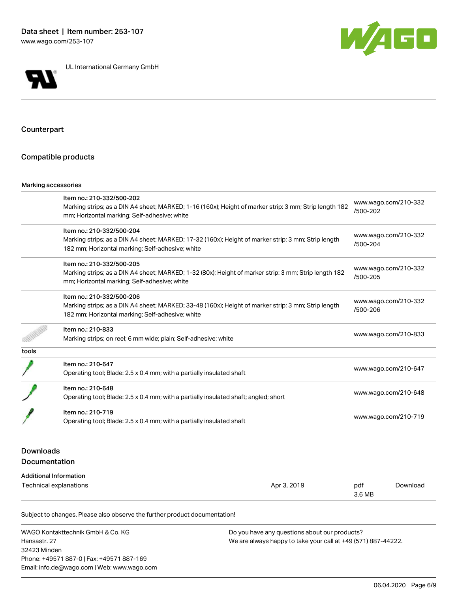

UL International Germany GmbH



Counterpart

#### Compatible products

#### Marking accessories

|       | Item no.: 210-332/500-202                                                                              |                                  |  |
|-------|--------------------------------------------------------------------------------------------------------|----------------------------------|--|
|       | Marking strips; as a DIN A4 sheet; MARKED; 1-16 (160x); Height of marker strip: 3 mm; Strip length 182 | www.wago.com/210-332<br>/500-202 |  |
|       | mm; Horizontal marking; Self-adhesive; white                                                           |                                  |  |
|       | Item no.: 210-332/500-204                                                                              |                                  |  |
|       | Marking strips; as a DIN A4 sheet; MARKED; 17-32 (160x); Height of marker strip: 3 mm; Strip length    | www.wago.com/210-332<br>/500-204 |  |
|       | 182 mm; Horizontal marking; Self-adhesive; white                                                       |                                  |  |
|       | Item no.: 210-332/500-205                                                                              |                                  |  |
|       | Marking strips; as a DIN A4 sheet; MARKED; 1-32 (80x); Height of marker strip: 3 mm; Strip length 182  | www.wago.com/210-332             |  |
|       | mm; Horizontal marking; Self-adhesive; white                                                           | /500-205                         |  |
|       | Item no.: 210-332/500-206                                                                              |                                  |  |
|       | Marking strips; as a DIN A4 sheet; MARKED; 33-48 (160x); Height of marker strip: 3 mm; Strip length    | www.wago.com/210-332             |  |
|       | 182 mm; Horizontal marking; Self-adhesive; white                                                       | /500-206                         |  |
|       | Item no.: 210-833                                                                                      |                                  |  |
|       | Marking strips; on reel; 6 mm wide; plain; Self-adhesive; white                                        | www.wago.com/210-833             |  |
| tools |                                                                                                        |                                  |  |
|       | Item no.: 210-647                                                                                      |                                  |  |
|       | Operating tool; Blade: 2.5 x 0.4 mm; with a partially insulated shaft                                  | www.wago.com/210-647             |  |
|       | Item no.: 210-648                                                                                      |                                  |  |
|       | Operating tool; Blade: 2.5 x 0.4 mm; with a partially insulated shaft; angled; short                   | www.wago.com/210-648             |  |
|       | Item no.: 210-719                                                                                      |                                  |  |
|       | Operating tool; Blade: 2.5 x 0.4 mm; with a partially insulated shaft                                  | www.wago.com/210-719             |  |

## Downloads Documentation

#### Additional Information

| .<br>Technical explanations | Apr 3, 2019 | pdf    | Download |
|-----------------------------|-------------|--------|----------|
|                             |             | 3.6 MB |          |

Subject to changes. Please also observe the further product documentation!

WAGO Kontakttechnik GmbH & Co. KG Hansastr. 27 32423 Minden Phone: +49571 887-0 | Fax: +49571 887-169 Email: info.de@wago.com | Web: www.wago.com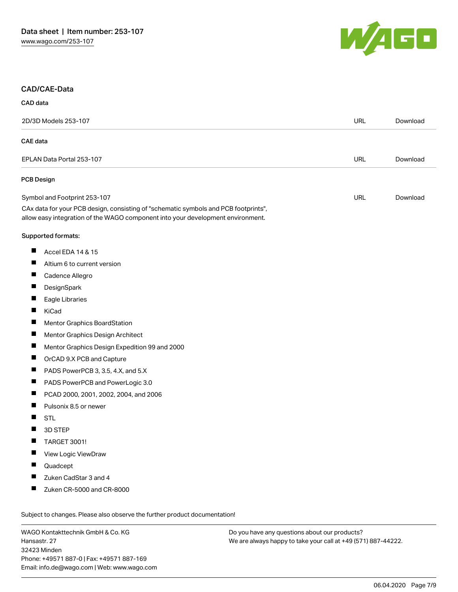

#### CAD/CAE-Data

| CAD data |  |
|----------|--|
|          |  |

| 2D/3D Models 253-107 |                                                                                                                                                                        | URL        | Download |
|----------------------|------------------------------------------------------------------------------------------------------------------------------------------------------------------------|------------|----------|
|                      | <b>CAE</b> data                                                                                                                                                        |            |          |
|                      | EPLAN Data Portal 253-107                                                                                                                                              | URL        | Download |
|                      | PCB Design                                                                                                                                                             |            |          |
|                      | Symbol and Footprint 253-107                                                                                                                                           | <b>URL</b> | Download |
|                      | CAx data for your PCB design, consisting of "schematic symbols and PCB footprints",<br>allow easy integration of the WAGO component into your development environment. |            |          |
|                      | Supported formats:                                                                                                                                                     |            |          |
| Ш                    | Accel EDA 14 & 15                                                                                                                                                      |            |          |
| ш                    | Altium 6 to current version                                                                                                                                            |            |          |
| ×.                   | Cadence Allegro                                                                                                                                                        |            |          |
|                      | DesignSpark                                                                                                                                                            |            |          |
| ш                    | Eagle Libraries                                                                                                                                                        |            |          |
| H                    | KiCad                                                                                                                                                                  |            |          |
|                      | Mentor Graphics BoardStation                                                                                                                                           |            |          |
| Ш                    | Mentor Graphics Design Architect                                                                                                                                       |            |          |
| Ш                    | Mentor Graphics Design Expedition 99 and 2000                                                                                                                          |            |          |
|                      | OrCAD 9.X PCB and Capture                                                                                                                                              |            |          |
| ш                    | PADS PowerPCB 3, 3.5, 4.X, and 5.X                                                                                                                                     |            |          |
| Ш                    | PADS PowerPCB and PowerLogic 3.0                                                                                                                                       |            |          |
|                      | PCAD 2000, 2001, 2002, 2004, and 2006                                                                                                                                  |            |          |
| Ш                    | Pulsonix 8.5 or newer                                                                                                                                                  |            |          |
| H                    | <b>STL</b>                                                                                                                                                             |            |          |
|                      | 3D STEP                                                                                                                                                                |            |          |
|                      | TARGET 3001!                                                                                                                                                           |            |          |
|                      | View Logic ViewDraw                                                                                                                                                    |            |          |
|                      | Quadcept                                                                                                                                                               |            |          |
|                      | Zuken CadStar 3 and 4                                                                                                                                                  |            |          |
|                      | Zuken CR-5000 and CR-8000                                                                                                                                              |            |          |

WAGO Kontakttechnik GmbH & Co. KG Hansastr. 27 32423 Minden Phone: +49571 887-0 | Fax: +49571 887-169 Email: info.de@wago.com | Web: www.wago.com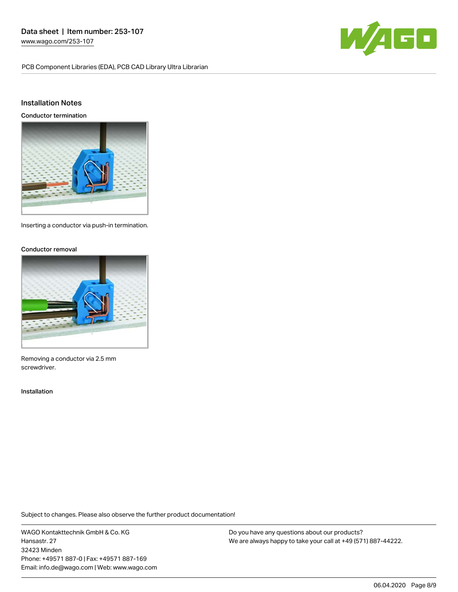PCB Component Libraries (EDA), PCB CAD Library Ultra Librarian



#### Installation Notes

Conductor termination



Inserting a conductor via push-in termination.

#### Conductor removal



Removing a conductor via 2.5 mm screwdriver.

#### Installation

Subject to changes. Please also observe the further product documentation!

WAGO Kontakttechnik GmbH & Co. KG Hansastr. 27 32423 Minden Phone: +49571 887-0 | Fax: +49571 887-169 Email: info.de@wago.com | Web: www.wago.com